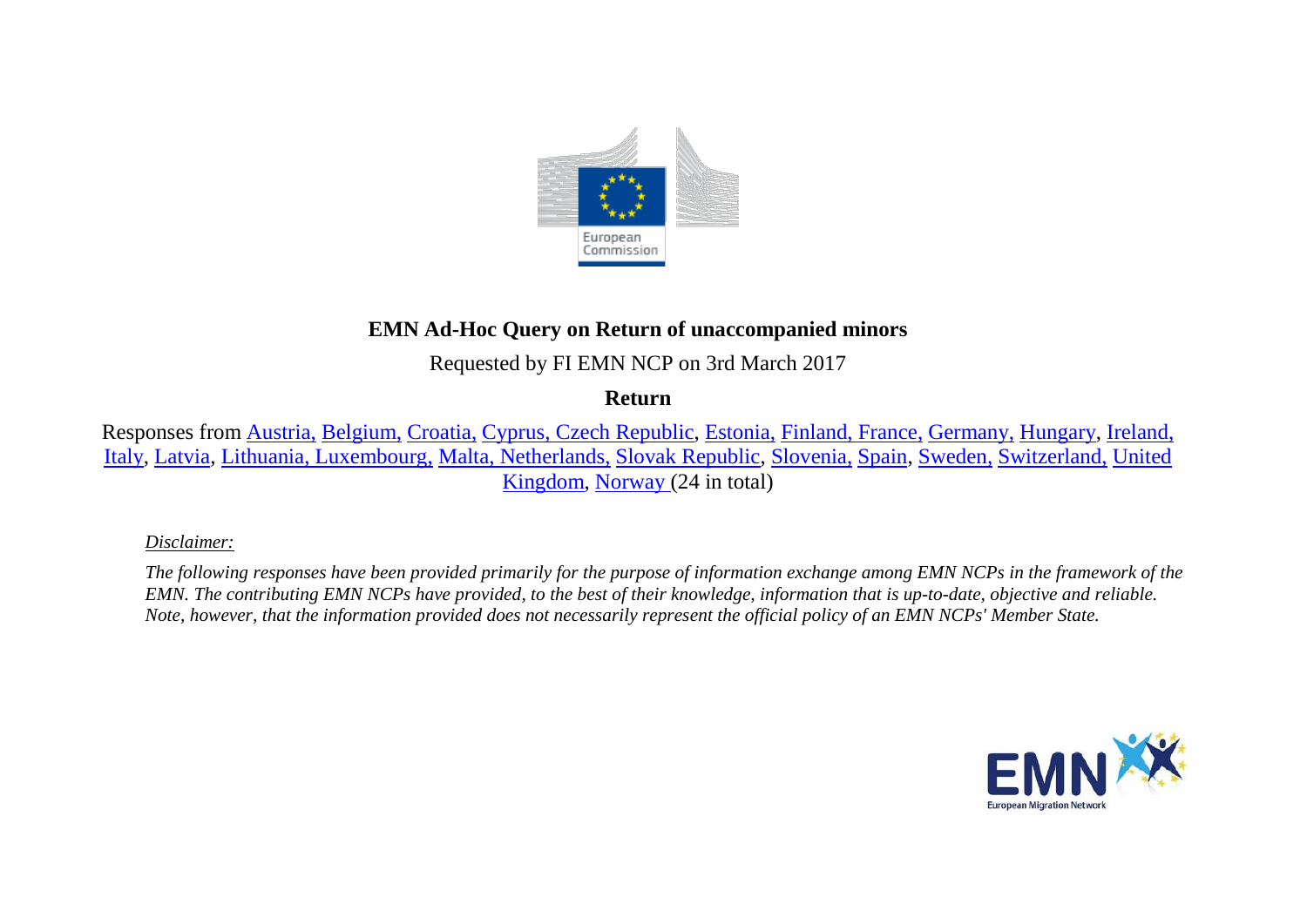

# **EMN Ad-Hoc Query on Return of unaccompanied minors**

Requested by FI EMN NCP on 3rd March 2017

**Return**

Responses from [Austria,](#page-3-0) [Belgium,](#page-3-1) [Croatia,](#page-4-0) [Cyprus, Czech Republic,](#page-5-0) [Estonia,](#page-6-0) [Finland,](#page-6-1) [France,](#page-6-1) [Germany,](#page-7-0) [Hungary,](#page-8-0) [Ireland,](#page-8-1)  [Italy,](#page-9-0) [Latvia,](#page-10-0) [Lithuania, Luxembourg,](#page-10-1) [Malta, Netherlands,](#page-11-0) [Slovak Republic,](#page-12-0) [Slovenia,](#page-12-1) [Spain,](#page-13-0) [Sweden,](#page-13-1) [Switzerland,](#page-14-0) [United](#page-14-1)  [Kingdom,](#page-14-1) [Norway \(](#page-14-2)24 in total)

*Disclaimer:* 

*The following responses have been provided primarily for the purpose of information exchange among EMN NCPs in the framework of the EMN. The contributing EMN NCPs have provided, to the best of their knowledge, information that is up-to-date, objective and reliable. Note, however, that the information provided does not necessarily represent the official policy of an EMN NCPs' Member State.*

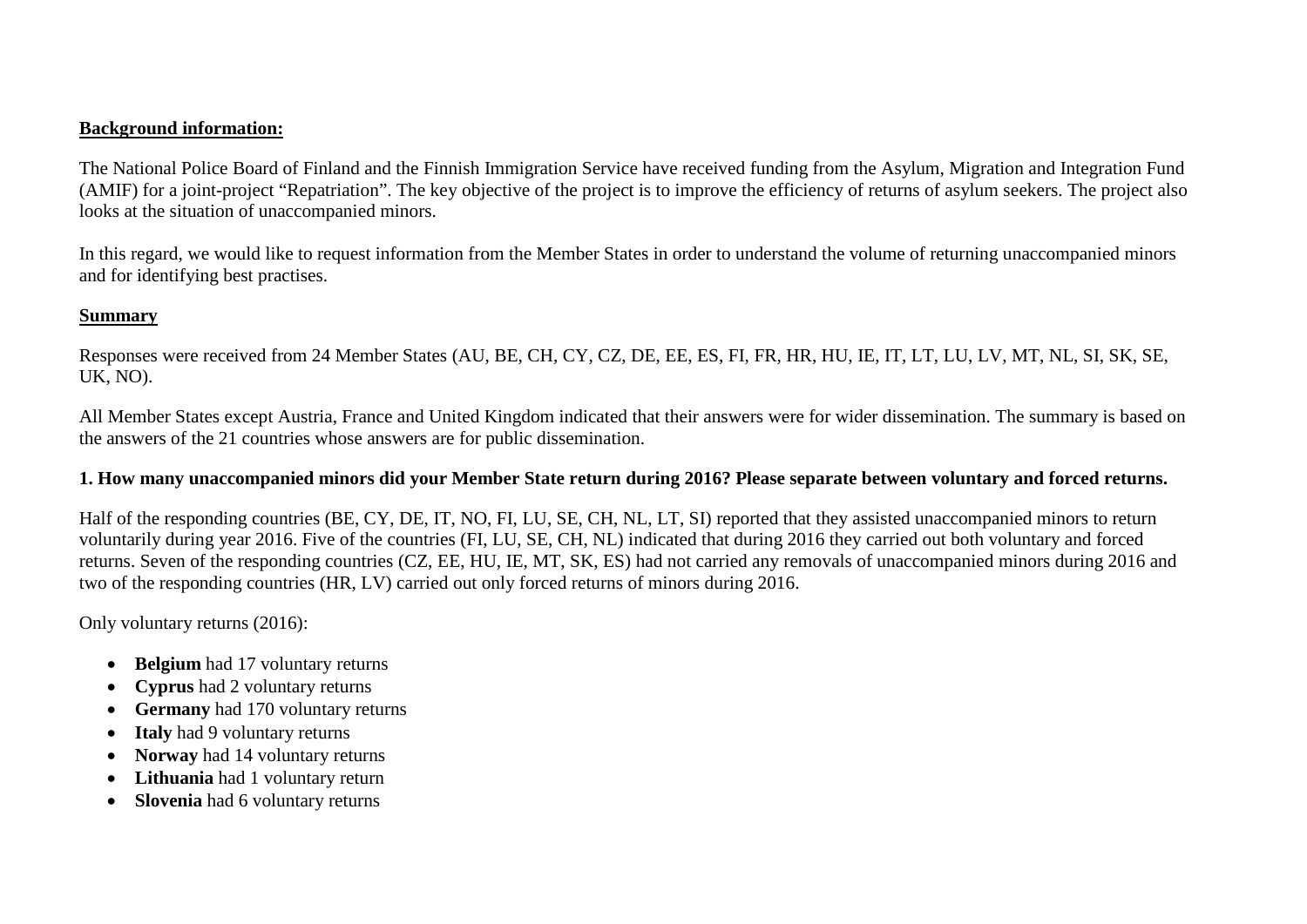## **Background information:**

The National Police Board of Finland and the Finnish Immigration Service have received funding from the Asylum, Migration and Integration Fund (AMIF) for a joint-project "Repatriation". The key objective of the project is to improve the efficiency of returns of asylum seekers. The project also looks at the situation of unaccompanied minors.

In this regard, we would like to request information from the Member States in order to understand the volume of returning unaccompanied minors and for identifying best practises.

## **Summary**

Responses were received from 24 Member States (AU, BE, CH, CY, CZ, DE, EE, ES, FI, FR, HR, HU, IE, IT, LT, LU, LV, MT, NL, SI, SK, SE, UK, NO).

All Member States except Austria, France and United Kingdom indicated that their answers were for wider dissemination. The summary is based on the answers of the 21 countries whose answers are for public dissemination.

## **1. How many unaccompanied minors did your Member State return during 2016? Please separate between voluntary and forced returns.**

Half of the responding countries (BE, CY, DE, IT, NO, FI, LU, SE, CH, NL, LT, SI) reported that they assisted unaccompanied minors to return voluntarily during year 2016. Five of the countries (FI, LU, SE, CH, NL) indicated that during 2016 they carried out both voluntary and forced returns. Seven of the responding countries (CZ, EE, HU, IE, MT, SK, ES) had not carried any removals of unaccompanied minors during 2016 and two of the responding countries (HR, LV) carried out only forced returns of minors during 2016.

Only voluntary returns (2016):

- **Belgium** had 17 voluntary returns
- **Cyprus** had 2 voluntary returns
- **Germany** had 170 voluntary returns
- **Italy** had 9 voluntary returns
- **Norway** had 14 voluntary returns
- **Lithuania** had 1 voluntary return
- **Slovenia** had 6 voluntary returns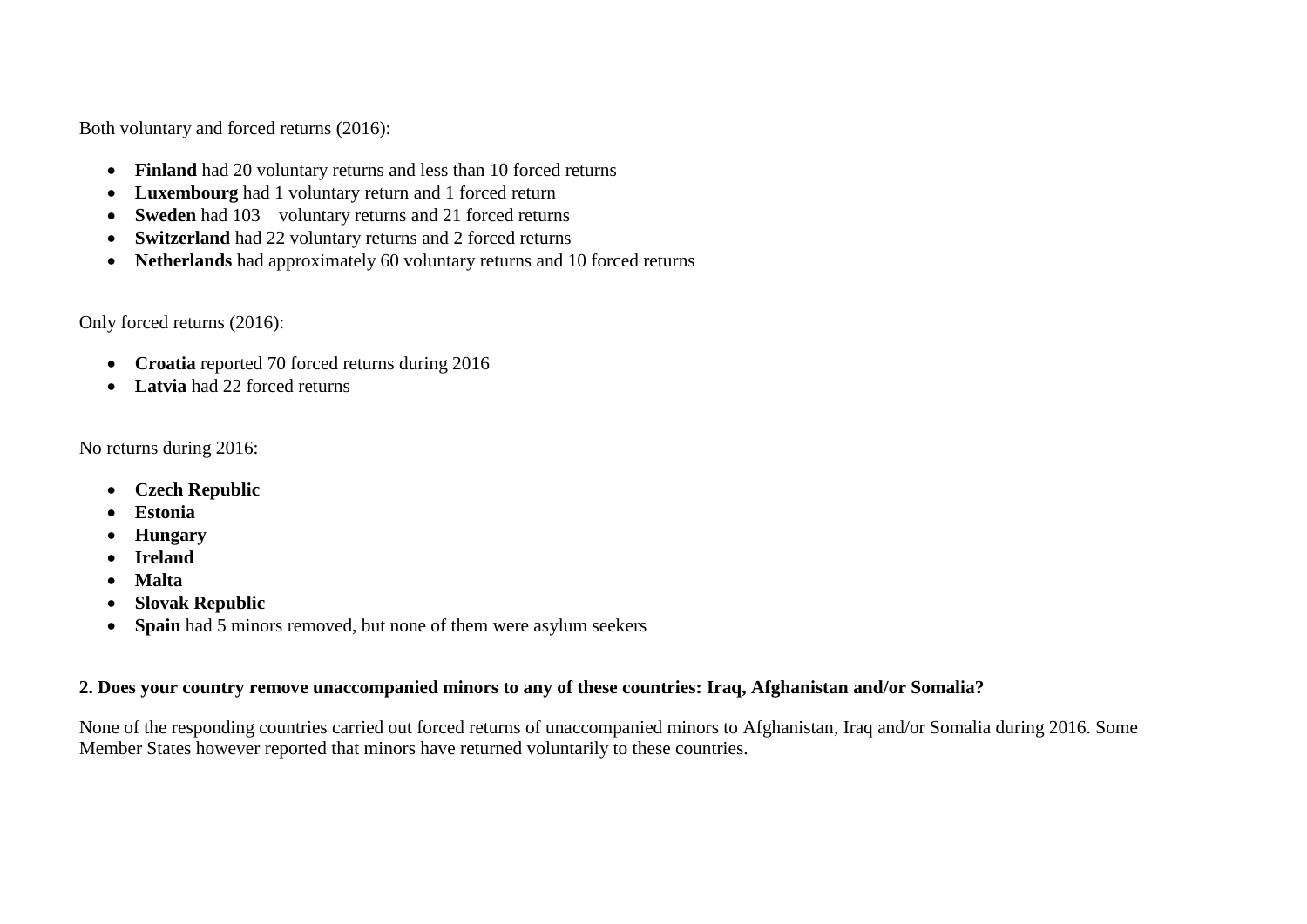Both voluntary and forced returns (2016):

- **Finland** had 20 voluntary returns and less than 10 forced returns
- **Luxembourg** had 1 voluntary return and 1 forced return
- **Sweden** had 103 voluntary returns and 21 forced returns
- **Switzerland** had 22 voluntary returns and 2 forced returns
- **Netherlands** had approximately 60 voluntary returns and 10 forced returns

Only forced returns (2016):

- **Croatia** reported 70 forced returns during 2016
- **Latvia** had 22 forced returns

No returns during 2016:

- **Czech Republic**
- **Estonia**
- **Hungary**
- **Ireland**
- **Malta**
- **Slovak Republic**
- **Spain** had 5 minors removed, but none of them were asylum seekers

## **2. Does your country remove unaccompanied minors to any of these countries: Iraq, Afghanistan and/or Somalia?**

None of the responding countries carried out forced returns of unaccompanied minors to Afghanistan, Iraq and/or Somalia during 2016. Some Member States however reported that minors have returned voluntarily to these countries.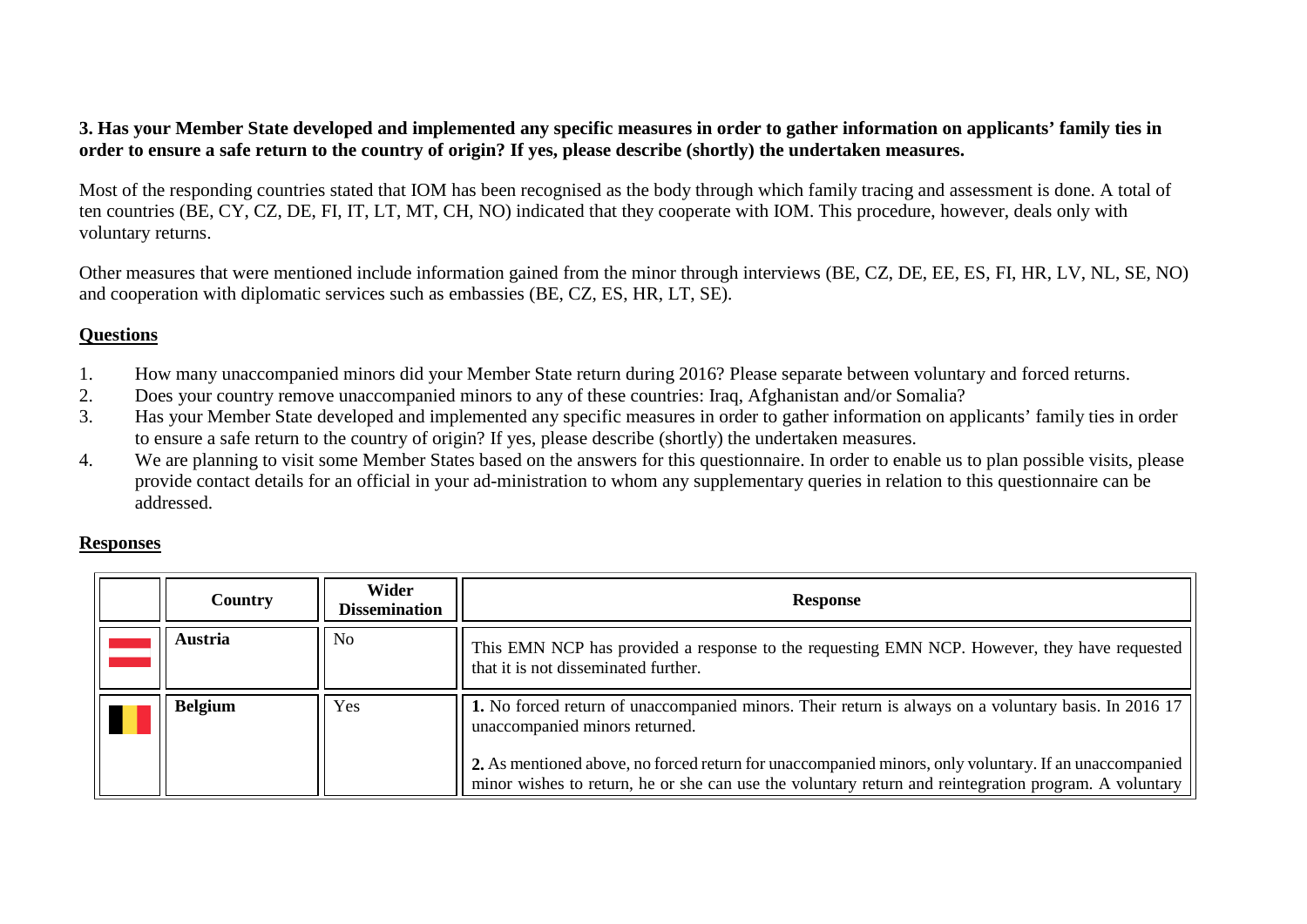## **3. Has your Member State developed and implemented any specific measures in order to gather information on applicants' family ties in order to ensure a safe return to the country of origin? If yes, please describe (shortly) the undertaken measures.**

Most of the responding countries stated that IOM has been recognised as the body through which family tracing and assessment is done. A total of ten countries (BE, CY, CZ, DE, FI, IT, LT, MT, CH, NO) indicated that they cooperate with IOM. This procedure, however, deals only with voluntary returns.

Other measures that were mentioned include information gained from the minor through interviews (BE, CZ, DE, EE, ES, FI, HR, LV, NL, SE, NO) and cooperation with diplomatic services such as embassies (BE, CZ, ES, HR, LT, SE).

## **Questions**

- 1. How many unaccompanied minors did your Member State return during 2016? Please separate between voluntary and forced returns.<br>2. Does your country remove unaccompanied minors to any of these countries: Iraq. Afghanistan
- 2. Does your country remove unaccompanied minors to any of these countries: Iraq, Afghanistan and/or Somalia?
- 3. Has your Member State developed and implemented any specific measures in order to gather information on applicants' family ties in order to ensure a safe return to the country of origin? If yes, please describe (shortly) the undertaken measures.
- 4. We are planning to visit some Member States based on the answers for this questionnaire. In order to enable us to plan possible visits, please provide contact details for an official in your ad-ministration to whom any supplementary queries in relation to this questionnaire can be addressed.

## **Responses**

<span id="page-3-1"></span><span id="page-3-0"></span>

| <b>Country</b> | Wider<br>Dissemination | <b>Response</b>                                                                                                                                                                                                |
|----------------|------------------------|----------------------------------------------------------------------------------------------------------------------------------------------------------------------------------------------------------------|
| Austria        | No                     | This EMN NCP has provided a response to the requesting EMN NCP. However, they have requested<br>that it is not disseminated further.                                                                           |
| <b>Belgium</b> | Yes                    | 1. No forced return of unaccompanied minors. Their return is always on a voluntary basis. In 2016 17<br>unaccompanied minors returned.                                                                         |
|                |                        | 2. As mentioned above, no forced return for unaccompanied minors, only voluntary. If an unaccompanied<br>minor wishes to return, he or she can use the voluntary return and reintegration program. A voluntary |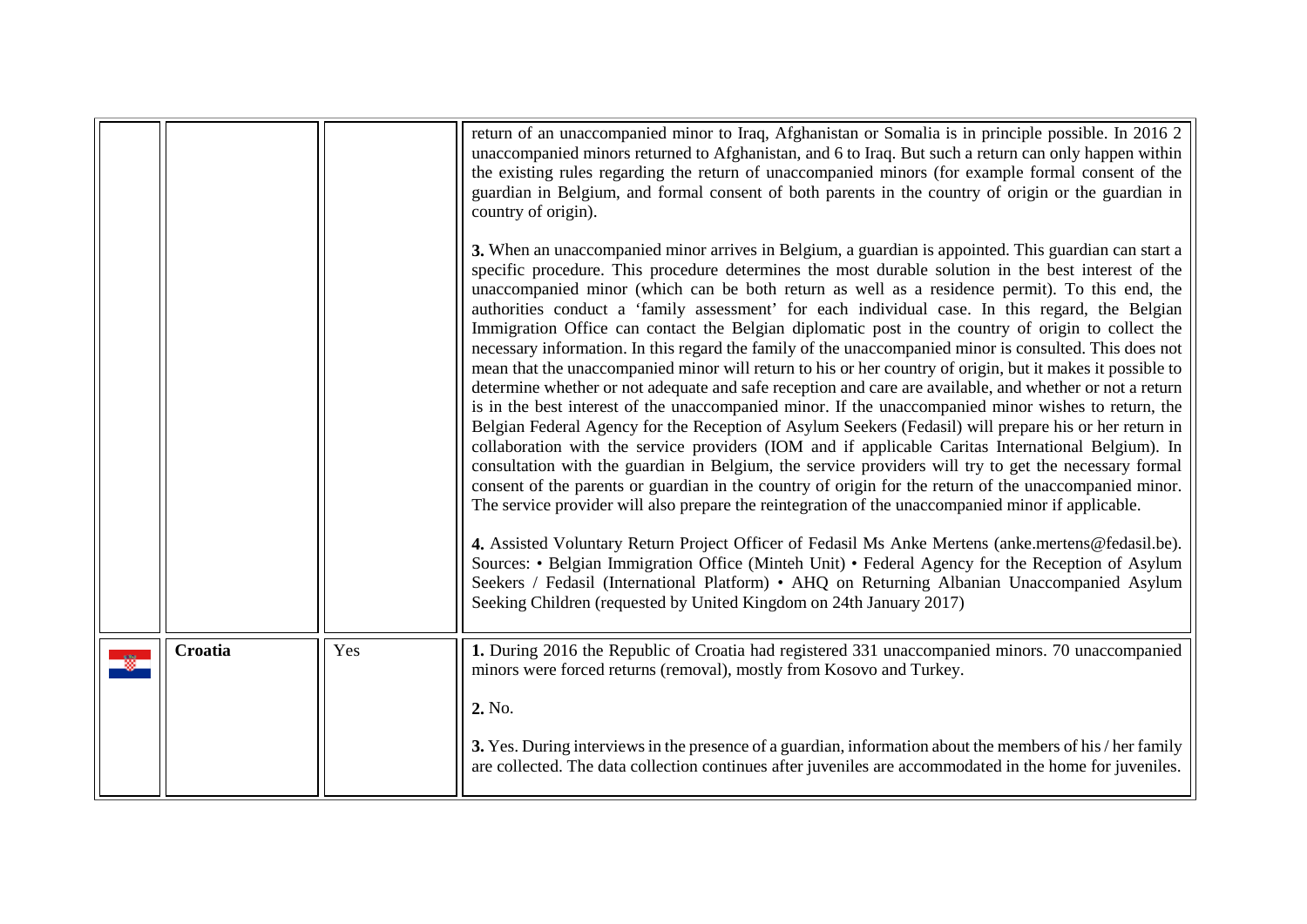<span id="page-4-0"></span>

|         |     | return of an unaccompanied minor to Iraq, Afghanistan or Somalia is in principle possible. In 2016 2<br>unaccompanied minors returned to Afghanistan, and 6 to Iraq. But such a return can only happen within<br>the existing rules regarding the return of unaccompanied minors (for example formal consent of the<br>guardian in Belgium, and formal consent of both parents in the country of origin or the guardian in<br>country of origin).<br>3. When an unaccompanied minor arrives in Belgium, a guardian is appointed. This guardian can start a<br>specific procedure. This procedure determines the most durable solution in the best interest of the<br>unaccompanied minor (which can be both return as well as a residence permit). To this end, the<br>authorities conduct a 'family assessment' for each individual case. In this regard, the Belgian<br>Immigration Office can contact the Belgian diplomatic post in the country of origin to collect the<br>necessary information. In this regard the family of the unaccompanied minor is consulted. This does not<br>mean that the unaccompanied minor will return to his or her country of origin, but it makes it possible to<br>determine whether or not adequate and safe reception and care are available, and whether or not a return<br>is in the best interest of the unaccompanied minor. If the unaccompanied minor wishes to return, the<br>Belgian Federal Agency for the Reception of Asylum Seekers (Fedasil) will prepare his or her return in<br>collaboration with the service providers (IOM and if applicable Caritas International Belgium). In<br>consultation with the guardian in Belgium, the service providers will try to get the necessary formal<br>consent of the parents or guardian in the country of origin for the return of the unaccompanied minor.<br>The service provider will also prepare the reintegration of the unaccompanied minor if applicable.<br>4. Assisted Voluntary Return Project Officer of Fedasil Ms Anke Mertens (anke.mertens@fedasil.be).<br>Sources: • Belgian Immigration Office (Minteh Unit) • Federal Agency for the Reception of Asylum<br>Seekers / Fedasil (International Platform) • AHQ on Returning Albanian Unaccompanied Asylum<br>Seeking Children (requested by United Kingdom on 24th January 2017) |
|---------|-----|----------------------------------------------------------------------------------------------------------------------------------------------------------------------------------------------------------------------------------------------------------------------------------------------------------------------------------------------------------------------------------------------------------------------------------------------------------------------------------------------------------------------------------------------------------------------------------------------------------------------------------------------------------------------------------------------------------------------------------------------------------------------------------------------------------------------------------------------------------------------------------------------------------------------------------------------------------------------------------------------------------------------------------------------------------------------------------------------------------------------------------------------------------------------------------------------------------------------------------------------------------------------------------------------------------------------------------------------------------------------------------------------------------------------------------------------------------------------------------------------------------------------------------------------------------------------------------------------------------------------------------------------------------------------------------------------------------------------------------------------------------------------------------------------------------------------------------------------------------------------------------------------------------------------------------------------------------------------------------------------------------------------------------------------------------------------------------------------------------------------------------------------------------------------------------------------------------------------------------------------------------------------------------------------------------------------------------------------------|
| Croatia | Yes | 1. During 2016 the Republic of Croatia had registered 331 unaccompanied minors. 70 unaccompanied<br>minors were forced returns (removal), mostly from Kosovo and Turkey.<br>2. No.<br>3. Yes. During interviews in the presence of a guardian, information about the members of his / her family<br>are collected. The data collection continues after juveniles are accommodated in the home for juveniles.                                                                                                                                                                                                                                                                                                                                                                                                                                                                                                                                                                                                                                                                                                                                                                                                                                                                                                                                                                                                                                                                                                                                                                                                                                                                                                                                                                                                                                                                                                                                                                                                                                                                                                                                                                                                                                                                                                                                       |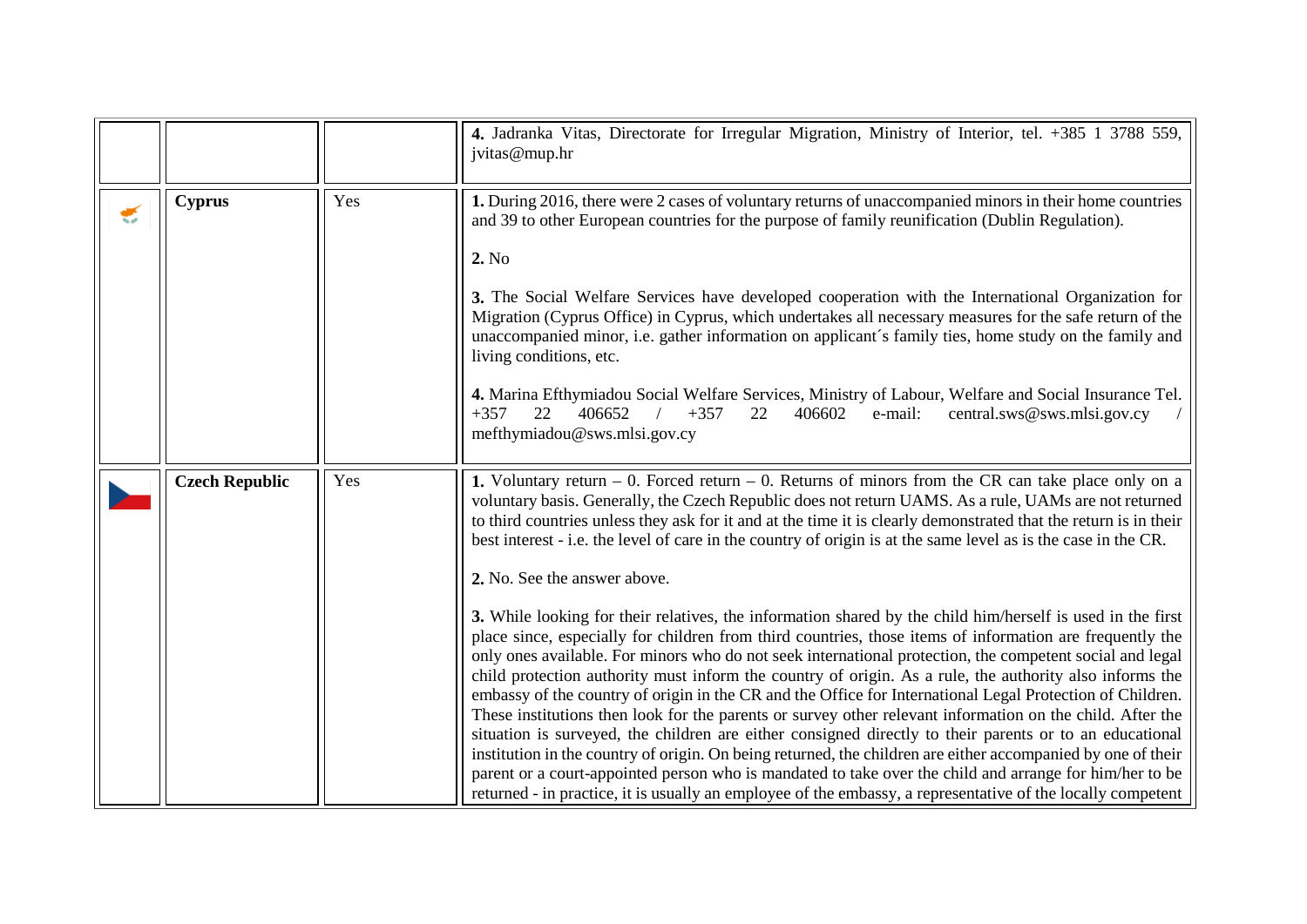<span id="page-5-0"></span>

|                       |                       |     | 4. Jadranka Vitas, Directorate for Irregular Migration, Ministry of Interior, tel. +385 1 3788 559,<br>jvitas@mup.hr                                                                                                                                                                                                                                                                                                                                                                                                                                                                                                                                                                                                                                                                                                                                                                                                                                                                                                                                                                                                                                                                                                                                                                                                                                                                                                                                                                                                                                                                                                  |
|-----------------------|-----------------------|-----|-----------------------------------------------------------------------------------------------------------------------------------------------------------------------------------------------------------------------------------------------------------------------------------------------------------------------------------------------------------------------------------------------------------------------------------------------------------------------------------------------------------------------------------------------------------------------------------------------------------------------------------------------------------------------------------------------------------------------------------------------------------------------------------------------------------------------------------------------------------------------------------------------------------------------------------------------------------------------------------------------------------------------------------------------------------------------------------------------------------------------------------------------------------------------------------------------------------------------------------------------------------------------------------------------------------------------------------------------------------------------------------------------------------------------------------------------------------------------------------------------------------------------------------------------------------------------------------------------------------------------|
| $\blacktriangleright$ | <b>Cyprus</b>         | Yes | 1. During 2016, there were 2 cases of voluntary returns of unaccompanied minors in their home countries<br>and 39 to other European countries for the purpose of family reunification (Dublin Regulation).<br>2. No<br>3. The Social Welfare Services have developed cooperation with the International Organization for<br>Migration (Cyprus Office) in Cyprus, which undertakes all necessary measures for the safe return of the<br>unaccompanied minor, i.e. gather information on applicant's family ties, home study on the family and<br>living conditions, etc.<br>4. Marina Efthymiadou Social Welfare Services, Ministry of Labour, Welfare and Social Insurance Tel.<br>22<br>406652<br>$+357$<br>22<br>406602<br>e-mail:<br>central.sws@sws.mlsi.gov.cy<br>$+357$<br>mefthymiadou@sws.mlsi.gov.cy                                                                                                                                                                                                                                                                                                                                                                                                                                                                                                                                                                                                                                                                                                                                                                                                         |
|                       | <b>Czech Republic</b> | Yes | 1. Voluntary return $-0$ . Forced return $-0$ . Returns of minors from the CR can take place only on a<br>voluntary basis. Generally, the Czech Republic does not return UAMS. As a rule, UAMs are not returned<br>to third countries unless they ask for it and at the time it is clearly demonstrated that the return is in their<br>best interest - i.e. the level of care in the country of origin is at the same level as is the case in the CR.<br>2. No. See the answer above.<br>3. While looking for their relatives, the information shared by the child him/herself is used in the first<br>place since, especially for children from third countries, those items of information are frequently the<br>only ones available. For minors who do not seek international protection, the competent social and legal<br>child protection authority must inform the country of origin. As a rule, the authority also informs the<br>embassy of the country of origin in the CR and the Office for International Legal Protection of Children.<br>These institutions then look for the parents or survey other relevant information on the child. After the<br>situation is surveyed, the children are either consigned directly to their parents or to an educational<br>institution in the country of origin. On being returned, the children are either accompanied by one of their<br>parent or a court-appointed person who is mandated to take over the child and arrange for him/her to be<br>returned - in practice, it is usually an employee of the embassy, a representative of the locally competent |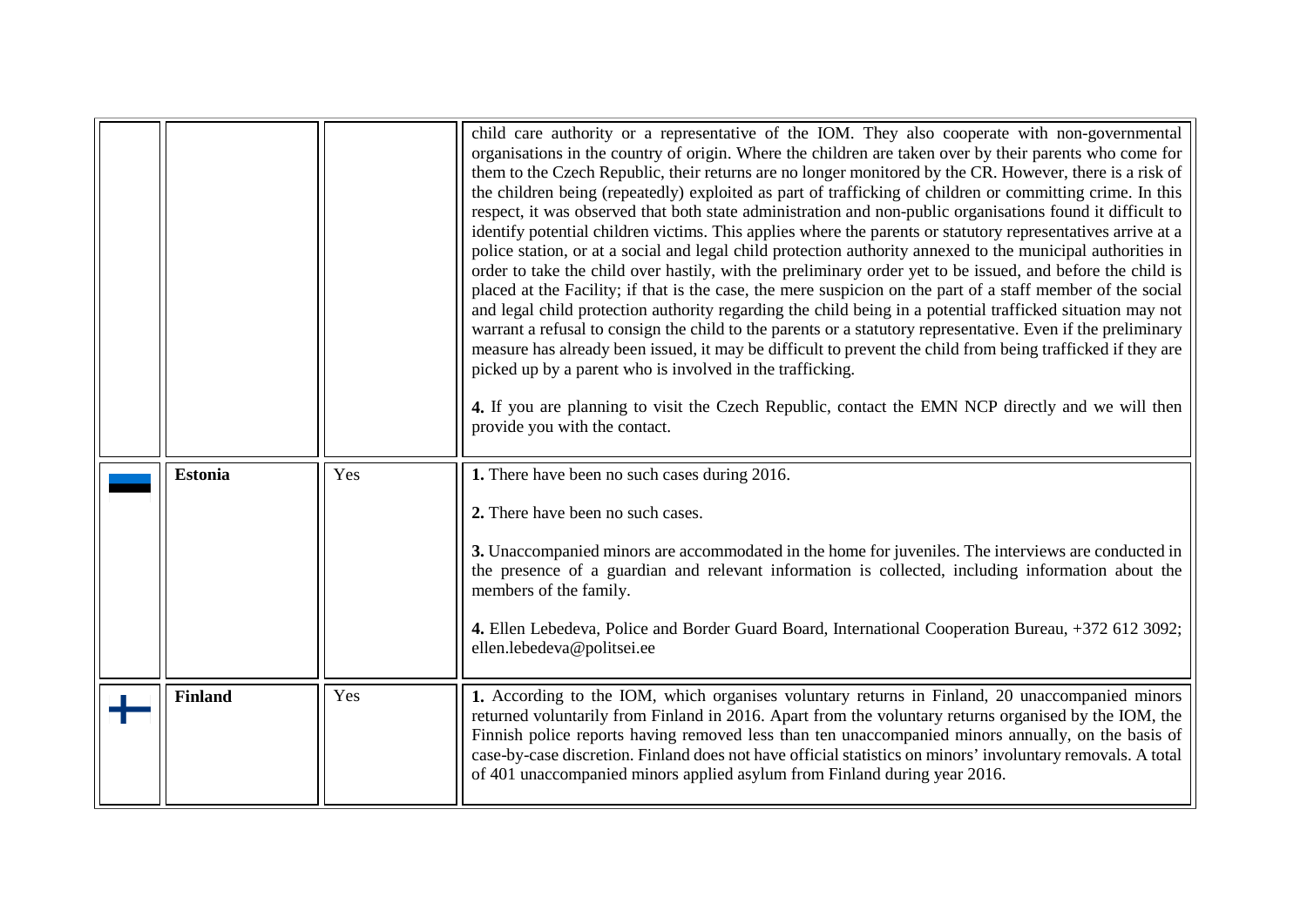<span id="page-6-1"></span><span id="page-6-0"></span>

|                |     | child care authority or a representative of the IOM. They also cooperate with non-governmental<br>organisations in the country of origin. Where the children are taken over by their parents who come for<br>them to the Czech Republic, their returns are no longer monitored by the CR. However, there is a risk of<br>the children being (repeatedly) exploited as part of trafficking of children or committing crime. In this<br>respect, it was observed that both state administration and non-public organisations found it difficult to<br>identify potential children victims. This applies where the parents or statutory representatives arrive at a<br>police station, or at a social and legal child protection authority annexed to the municipal authorities in<br>order to take the child over hastily, with the preliminary order yet to be issued, and before the child is<br>placed at the Facility; if that is the case, the mere suspicion on the part of a staff member of the social<br>and legal child protection authority regarding the child being in a potential trafficked situation may not<br>warrant a refusal to consign the child to the parents or a statutory representative. Even if the preliminary<br>measure has already been issued, it may be difficult to prevent the child from being trafficked if they are<br>picked up by a parent who is involved in the trafficking.<br>4. If you are planning to visit the Czech Republic, contact the EMN NCP directly and we will then<br>provide you with the contact. |
|----------------|-----|--------------------------------------------------------------------------------------------------------------------------------------------------------------------------------------------------------------------------------------------------------------------------------------------------------------------------------------------------------------------------------------------------------------------------------------------------------------------------------------------------------------------------------------------------------------------------------------------------------------------------------------------------------------------------------------------------------------------------------------------------------------------------------------------------------------------------------------------------------------------------------------------------------------------------------------------------------------------------------------------------------------------------------------------------------------------------------------------------------------------------------------------------------------------------------------------------------------------------------------------------------------------------------------------------------------------------------------------------------------------------------------------------------------------------------------------------------------------------------------------------------------------------------------------------------------|
| <b>Estonia</b> | Yes | 1. There have been no such cases during 2016.                                                                                                                                                                                                                                                                                                                                                                                                                                                                                                                                                                                                                                                                                                                                                                                                                                                                                                                                                                                                                                                                                                                                                                                                                                                                                                                                                                                                                                                                                                                |
|                |     | 2. There have been no such cases.                                                                                                                                                                                                                                                                                                                                                                                                                                                                                                                                                                                                                                                                                                                                                                                                                                                                                                                                                                                                                                                                                                                                                                                                                                                                                                                                                                                                                                                                                                                            |
|                |     | 3. Unaccompanied minors are accommodated in the home for juveniles. The interviews are conducted in<br>the presence of a guardian and relevant information is collected, including information about the<br>members of the family.                                                                                                                                                                                                                                                                                                                                                                                                                                                                                                                                                                                                                                                                                                                                                                                                                                                                                                                                                                                                                                                                                                                                                                                                                                                                                                                           |
|                |     | 4. Ellen Lebedeva, Police and Border Guard Board, International Cooperation Bureau, +372 612 3092;<br>ellen.lebedeva@politsei.ee                                                                                                                                                                                                                                                                                                                                                                                                                                                                                                                                                                                                                                                                                                                                                                                                                                                                                                                                                                                                                                                                                                                                                                                                                                                                                                                                                                                                                             |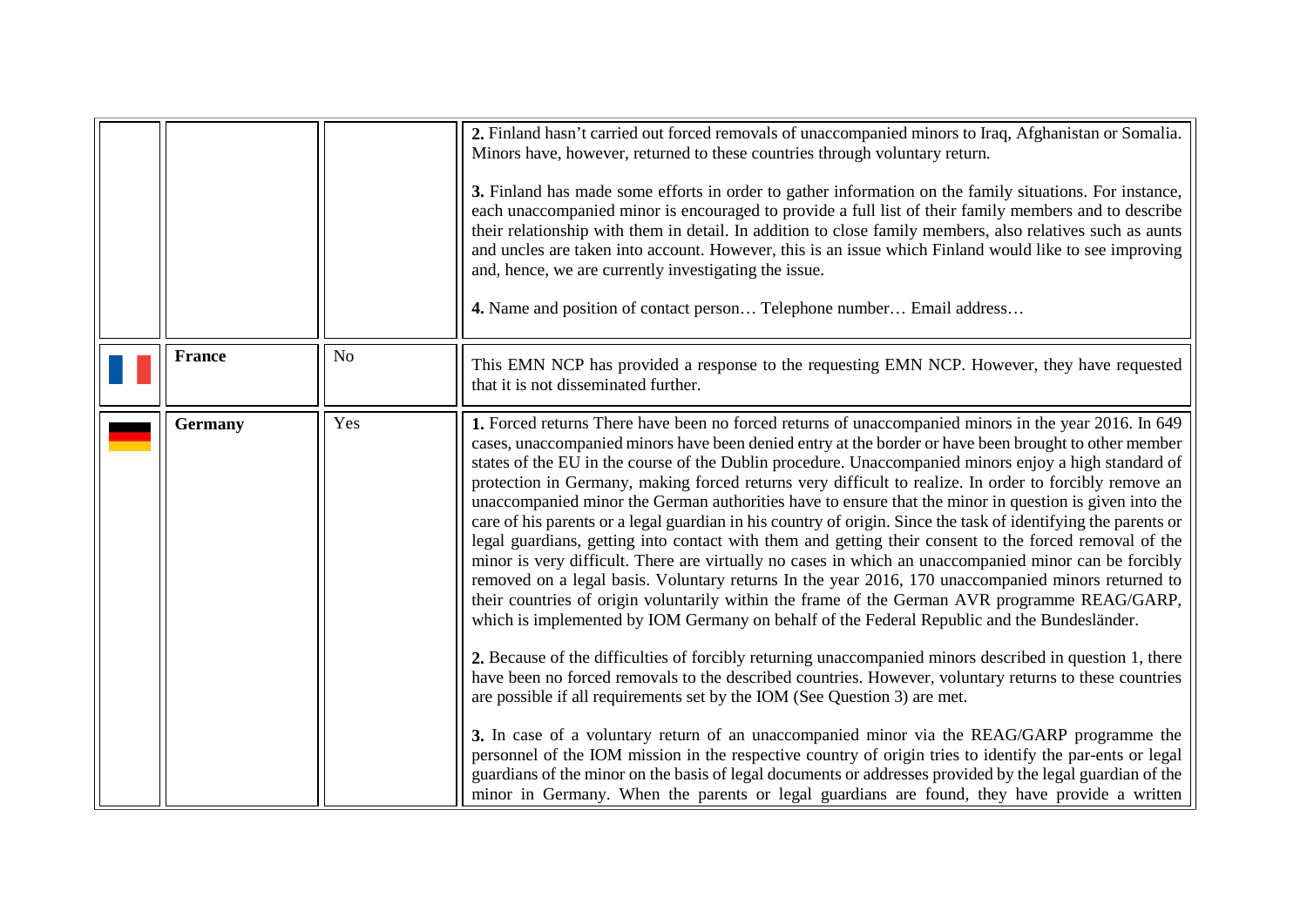<span id="page-7-0"></span>

|                |                | 2. Finland hasn't carried out forced removals of unaccompanied minors to Iraq, Afghanistan or Somalia.<br>Minors have, however, returned to these countries through voluntary return.<br>3. Finland has made some efforts in order to gather information on the family situations. For instance,<br>each unaccompanied minor is encouraged to provide a full list of their family members and to describe<br>their relationship with them in detail. In addition to close family members, also relatives such as aunts<br>and uncles are taken into account. However, this is an issue which Finland would like to see improving<br>and, hence, we are currently investigating the issue.<br>4. Name and position of contact person Telephone number Email address                                                                                                                                                                                                                                                                                                                                                                                                                                                                                                                                                                                                                                                                                                                                                                                                                                                                                                                                                                                                                                                                                                                                              |
|----------------|----------------|-----------------------------------------------------------------------------------------------------------------------------------------------------------------------------------------------------------------------------------------------------------------------------------------------------------------------------------------------------------------------------------------------------------------------------------------------------------------------------------------------------------------------------------------------------------------------------------------------------------------------------------------------------------------------------------------------------------------------------------------------------------------------------------------------------------------------------------------------------------------------------------------------------------------------------------------------------------------------------------------------------------------------------------------------------------------------------------------------------------------------------------------------------------------------------------------------------------------------------------------------------------------------------------------------------------------------------------------------------------------------------------------------------------------------------------------------------------------------------------------------------------------------------------------------------------------------------------------------------------------------------------------------------------------------------------------------------------------------------------------------------------------------------------------------------------------------------------------------------------------------------------------------------------------|
| <b>France</b>  | N <sub>o</sub> | This EMN NCP has provided a response to the requesting EMN NCP. However, they have requested<br>that it is not disseminated further.                                                                                                                                                                                                                                                                                                                                                                                                                                                                                                                                                                                                                                                                                                                                                                                                                                                                                                                                                                                                                                                                                                                                                                                                                                                                                                                                                                                                                                                                                                                                                                                                                                                                                                                                                                            |
| <b>Germany</b> | Yes            | 1. Forced returns There have been no forced returns of unaccompanied minors in the year 2016. In 649<br>cases, unaccompanied minors have been denied entry at the border or have been brought to other member<br>states of the EU in the course of the Dublin procedure. Unaccompanied minors enjoy a high standard of<br>protection in Germany, making forced returns very difficult to realize. In order to forcibly remove an<br>unaccompanied minor the German authorities have to ensure that the minor in question is given into the<br>care of his parents or a legal guardian in his country of origin. Since the task of identifying the parents or<br>legal guardians, getting into contact with them and getting their consent to the forced removal of the<br>minor is very difficult. There are virtually no cases in which an unaccompanied minor can be forcibly<br>removed on a legal basis. Voluntary returns In the year 2016, 170 unaccompanied minors returned to<br>their countries of origin voluntarily within the frame of the German AVR programme REAG/GARP,<br>which is implemented by IOM Germany on behalf of the Federal Republic and the Bundesländer.<br>2. Because of the difficulties of forcibly returning unaccompanied minors described in question 1, there<br>have been no forced removals to the described countries. However, voluntary returns to these countries<br>are possible if all requirements set by the IOM (See Question 3) are met.<br>3. In case of a voluntary return of an unaccompanied minor via the REAG/GARP programme the<br>personnel of the IOM mission in the respective country of origin tries to identify the par-ents or legal<br>guardians of the minor on the basis of legal documents or addresses provided by the legal guardian of the<br>minor in Germany. When the parents or legal guardians are found, they have provide a written |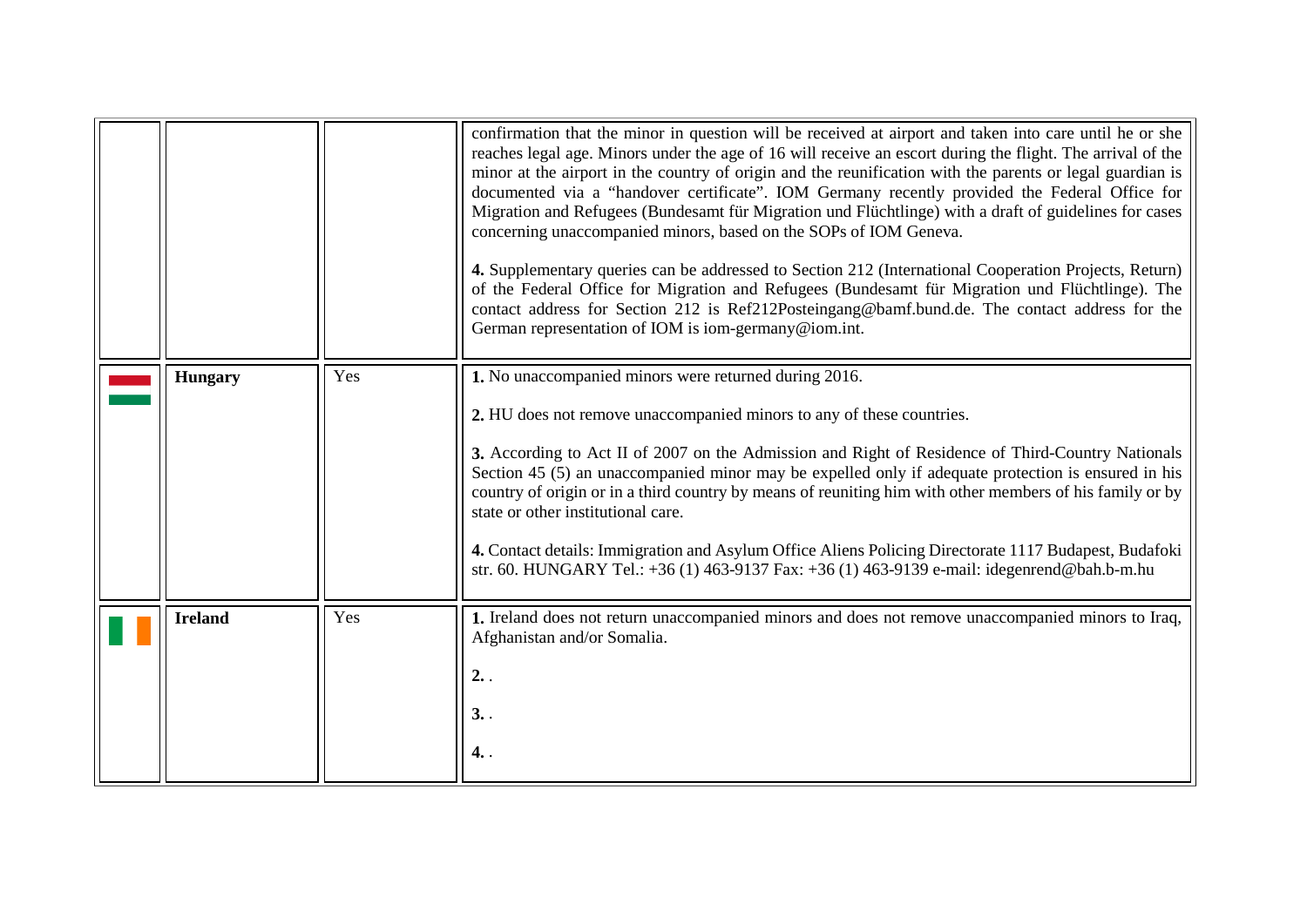<span id="page-8-1"></span><span id="page-8-0"></span>

|                |     | confirmation that the minor in question will be received at airport and taken into care until he or she<br>reaches legal age. Minors under the age of 16 will receive an escort during the flight. The arrival of the<br>minor at the airport in the country of origin and the reunification with the parents or legal guardian is<br>documented via a "handover certificate". IOM Germany recently provided the Federal Office for<br>Migration and Refugees (Bundesamt für Migration und Flüchtlinge) with a draft of guidelines for cases<br>concerning unaccompanied minors, based on the SOPs of IOM Geneva.<br>4. Supplementary queries can be addressed to Section 212 (International Cooperation Projects, Return)<br>of the Federal Office for Migration and Refugees (Bundesamt für Migration und Flüchtlinge). The<br>contact address for Section 212 is Ref212Posteingang@bamf.bund.de. The contact address for the<br>German representation of IOM is iom-germany@iom.int. |
|----------------|-----|-----------------------------------------------------------------------------------------------------------------------------------------------------------------------------------------------------------------------------------------------------------------------------------------------------------------------------------------------------------------------------------------------------------------------------------------------------------------------------------------------------------------------------------------------------------------------------------------------------------------------------------------------------------------------------------------------------------------------------------------------------------------------------------------------------------------------------------------------------------------------------------------------------------------------------------------------------------------------------------------|
| <b>Hungary</b> | Yes | 1. No unaccompanied minors were returned during 2016.<br>2. HU does not remove unaccompanied minors to any of these countries.<br>3. According to Act II of 2007 on the Admission and Right of Residence of Third-Country Nationals<br>Section 45 (5) an unaccompanied minor may be expelled only if adequate protection is ensured in his<br>country of origin or in a third country by means of reuniting him with other members of his family or by<br>state or other institutional care.<br>4. Contact details: Immigration and Asylum Office Aliens Policing Directorate 1117 Budapest, Budafoki<br>str. 60. HUNGARY Tel.: +36 (1) 463-9137 Fax: +36 (1) 463-9139 e-mail: idegenrend@bah.b-m.hu                                                                                                                                                                                                                                                                                    |
| <b>Ireland</b> | Yes | 1. Ireland does not return unaccompanied minors and does not remove unaccompanied minors to Iraq,<br>Afghanistan and/or Somalia.<br>2.<br>3.<br>4. .                                                                                                                                                                                                                                                                                                                                                                                                                                                                                                                                                                                                                                                                                                                                                                                                                                    |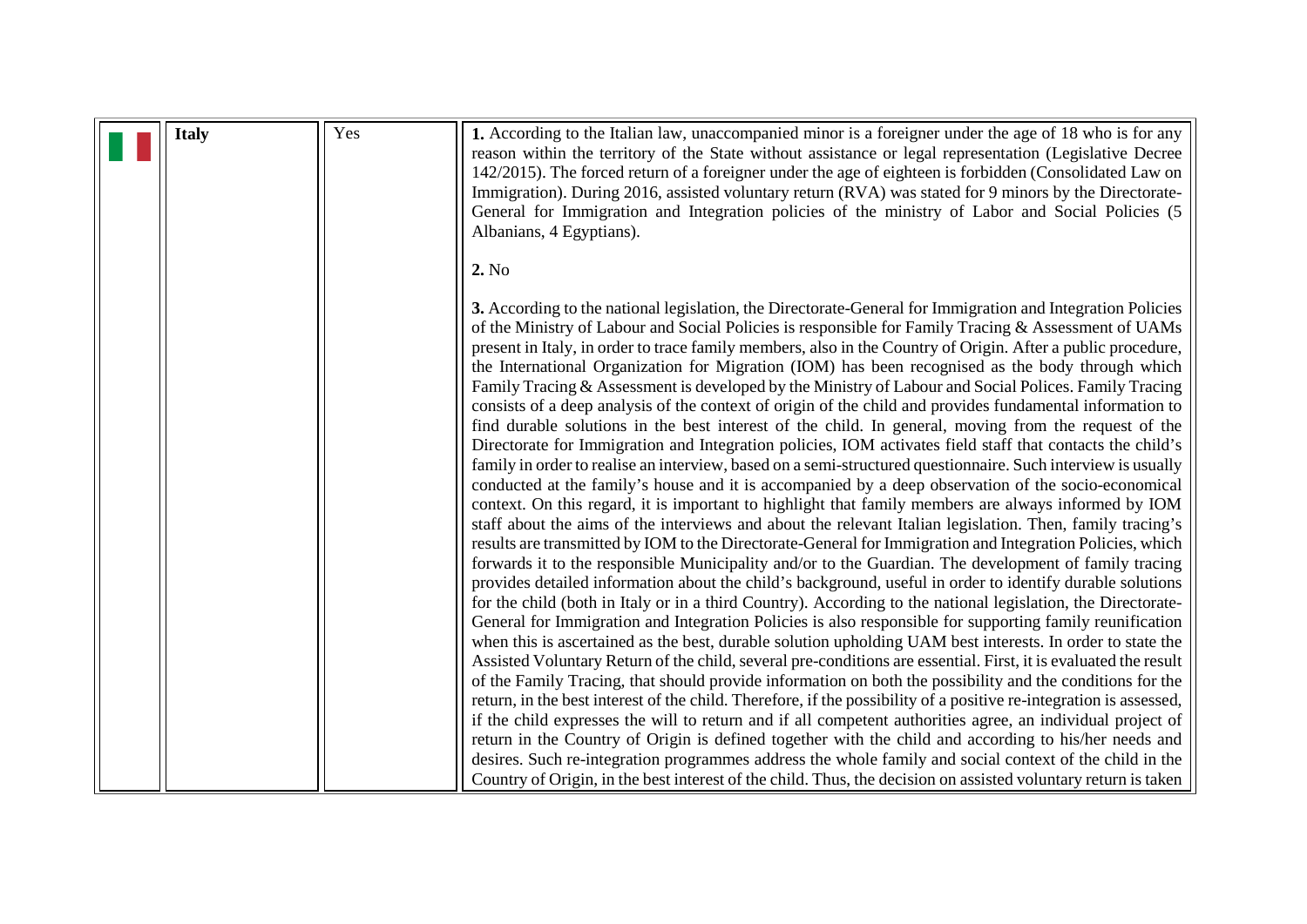<span id="page-9-0"></span>

|  | <b>Italy</b> | Yes | 1. According to the Italian law, unaccompanied minor is a foreigner under the age of 18 who is for any<br>reason within the territory of the State without assistance or legal representation (Legislative Decree<br>142/2015). The forced return of a foreigner under the age of eighteen is forbidden (Consolidated Law on<br>Immigration). During 2016, assisted voluntary return (RVA) was stated for 9 minors by the Directorate-<br>General for Immigration and Integration policies of the ministry of Labor and Social Policies (5<br>Albanians, 4 Egyptians).                                                                                                                                                                                                                                                                                                                                                                                                                                                                                                                                                                                                                                                                                                                                                                                                                                                                                                                                                                                                                                                                                                                                                                                                                                                                                                                                                                                                                                                                                                                                                                                                                                                                                                                                                                                                                                                                                                                                                                                                                                                                                                                             |
|--|--------------|-----|----------------------------------------------------------------------------------------------------------------------------------------------------------------------------------------------------------------------------------------------------------------------------------------------------------------------------------------------------------------------------------------------------------------------------------------------------------------------------------------------------------------------------------------------------------------------------------------------------------------------------------------------------------------------------------------------------------------------------------------------------------------------------------------------------------------------------------------------------------------------------------------------------------------------------------------------------------------------------------------------------------------------------------------------------------------------------------------------------------------------------------------------------------------------------------------------------------------------------------------------------------------------------------------------------------------------------------------------------------------------------------------------------------------------------------------------------------------------------------------------------------------------------------------------------------------------------------------------------------------------------------------------------------------------------------------------------------------------------------------------------------------------------------------------------------------------------------------------------------------------------------------------------------------------------------------------------------------------------------------------------------------------------------------------------------------------------------------------------------------------------------------------------------------------------------------------------------------------------------------------------------------------------------------------------------------------------------------------------------------------------------------------------------------------------------------------------------------------------------------------------------------------------------------------------------------------------------------------------------------------------------------------------------------------------------------------------|
|  |              |     | 2. No                                                                                                                                                                                                                                                                                                                                                                                                                                                                                                                                                                                                                                                                                                                                                                                                                                                                                                                                                                                                                                                                                                                                                                                                                                                                                                                                                                                                                                                                                                                                                                                                                                                                                                                                                                                                                                                                                                                                                                                                                                                                                                                                                                                                                                                                                                                                                                                                                                                                                                                                                                                                                                                                                              |
|  |              |     | 3. According to the national legislation, the Directorate-General for Immigration and Integration Policies<br>of the Ministry of Labour and Social Policies is responsible for Family Tracing & Assessment of UAMs<br>present in Italy, in order to trace family members, also in the Country of Origin. After a public procedure,<br>the International Organization for Migration (IOM) has been recognised as the body through which<br>Family Tracing & Assessment is developed by the Ministry of Labour and Social Polices. Family Tracing<br>consists of a deep analysis of the context of origin of the child and provides fundamental information to<br>find durable solutions in the best interest of the child. In general, moving from the request of the<br>Directorate for Immigration and Integration policies, IOM activates field staff that contacts the child's<br>family in order to realise an interview, based on a semi-structured questionnaire. Such interview is usually<br>conducted at the family's house and it is accompanied by a deep observation of the socio-economical<br>context. On this regard, it is important to highlight that family members are always informed by IOM<br>staff about the aims of the interviews and about the relevant Italian legislation. Then, family tracing's<br>results are transmitted by IOM to the Directorate-General for Immigration and Integration Policies, which<br>forwards it to the responsible Municipality and/or to the Guardian. The development of family tracing<br>provides detailed information about the child's background, useful in order to identify durable solutions<br>for the child (both in Italy or in a third Country). According to the national legislation, the Directorate-<br>General for Immigration and Integration Policies is also responsible for supporting family reunification<br>when this is ascertained as the best, durable solution upholding UAM best interests. In order to state the<br>Assisted Voluntary Return of the child, several pre-conditions are essential. First, it is evaluated the result<br>of the Family Tracing, that should provide information on both the possibility and the conditions for the<br>return, in the best interest of the child. Therefore, if the possibility of a positive re-integration is assessed,<br>if the child expresses the will to return and if all competent authorities agree, an individual project of<br>return in the Country of Origin is defined together with the child and according to his/her needs and<br>desires. Such re-integration programmes address the whole family and social context of the child in the |
|  |              |     | Country of Origin, in the best interest of the child. Thus, the decision on assisted voluntary return is taken                                                                                                                                                                                                                                                                                                                                                                                                                                                                                                                                                                                                                                                                                                                                                                                                                                                                                                                                                                                                                                                                                                                                                                                                                                                                                                                                                                                                                                                                                                                                                                                                                                                                                                                                                                                                                                                                                                                                                                                                                                                                                                                                                                                                                                                                                                                                                                                                                                                                                                                                                                                     |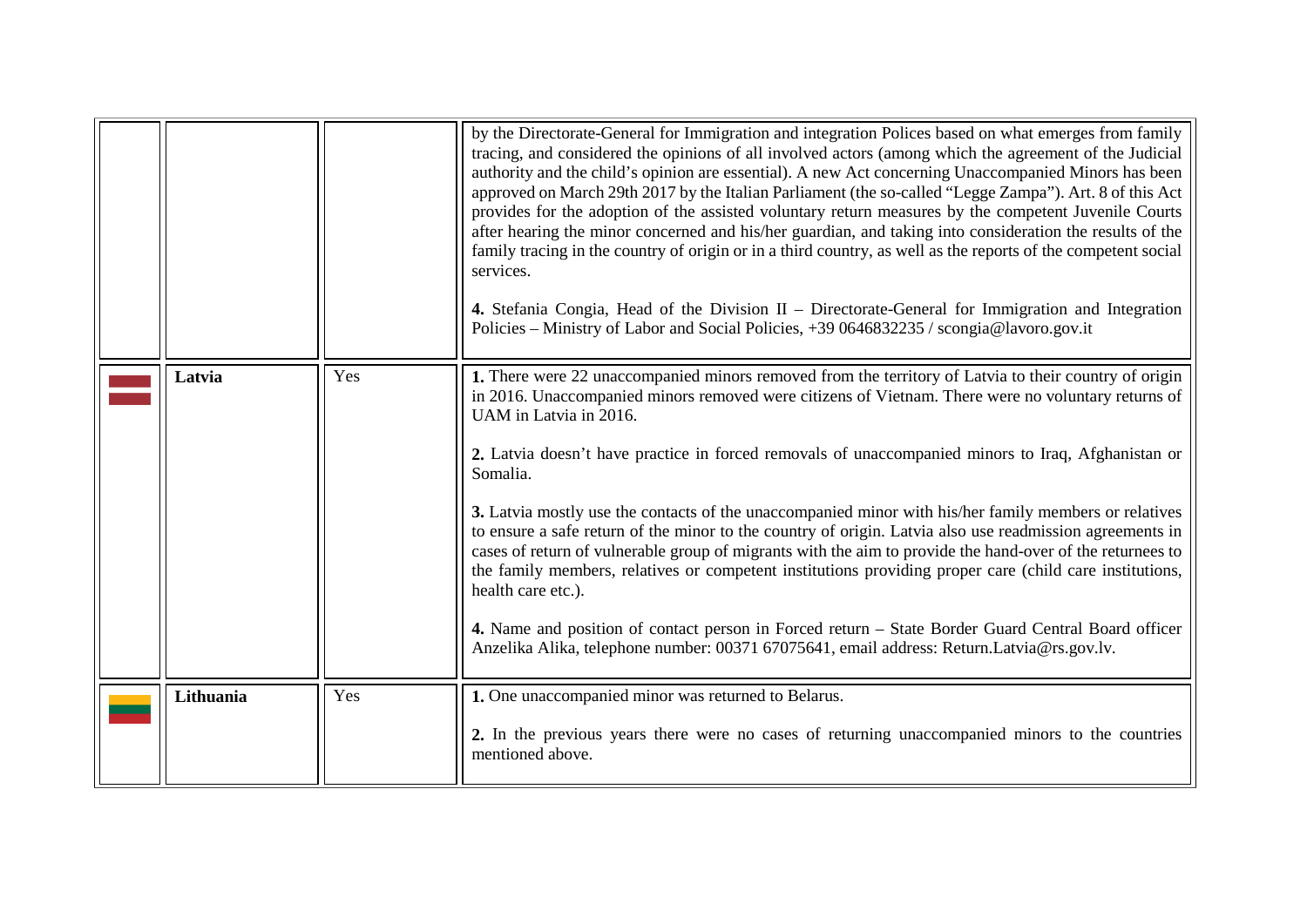<span id="page-10-1"></span><span id="page-10-0"></span>

|           |     | by the Directorate-General for Immigration and integration Polices based on what emerges from family<br>tracing, and considered the opinions of all involved actors (among which the agreement of the Judicial<br>authority and the child's opinion are essential). A new Act concerning Unaccompanied Minors has been<br>approved on March 29th 2017 by the Italian Parliament (the so-called "Legge Zampa"). Art. 8 of this Act<br>provides for the adoption of the assisted voluntary return measures by the competent Juvenile Courts<br>after hearing the minor concerned and his/her guardian, and taking into consideration the results of the<br>family tracing in the country of origin or in a third country, as well as the reports of the competent social<br>services.<br>4. Stefania Congia, Head of the Division II - Directorate-General for Immigration and Integration<br>Policies – Ministry of Labor and Social Policies, +39 0646832235 / scongia@lavoro.gov.it                                          |
|-----------|-----|-------------------------------------------------------------------------------------------------------------------------------------------------------------------------------------------------------------------------------------------------------------------------------------------------------------------------------------------------------------------------------------------------------------------------------------------------------------------------------------------------------------------------------------------------------------------------------------------------------------------------------------------------------------------------------------------------------------------------------------------------------------------------------------------------------------------------------------------------------------------------------------------------------------------------------------------------------------------------------------------------------------------------------|
| Latvia    | Yes | 1. There were 22 unaccompanied minors removed from the territory of Latvia to their country of origin<br>in 2016. Unaccompanied minors removed were citizens of Vietnam. There were no voluntary returns of<br>UAM in Latvia in 2016.<br>2. Latvia doesn't have practice in forced removals of unaccompanied minors to Iraq, Afghanistan or<br>Somalia.<br>3. Latvia mostly use the contacts of the unaccompanied minor with his/her family members or relatives<br>to ensure a safe return of the minor to the country of origin. Latvia also use readmission agreements in<br>cases of return of vulnerable group of migrants with the aim to provide the hand-over of the returnees to<br>the family members, relatives or competent institutions providing proper care (child care institutions,<br>health care etc.).<br>4. Name and position of contact person in Forced return – State Border Guard Central Board officer<br>Anzelika Alika, telephone number: 00371 67075641, email address: Return.Latvia@rs.gov.lv. |
| Lithuania | Yes | 1. One unaccompanied minor was returned to Belarus.<br>2. In the previous years there were no cases of returning unaccompanied minors to the countries<br>mentioned above.                                                                                                                                                                                                                                                                                                                                                                                                                                                                                                                                                                                                                                                                                                                                                                                                                                                    |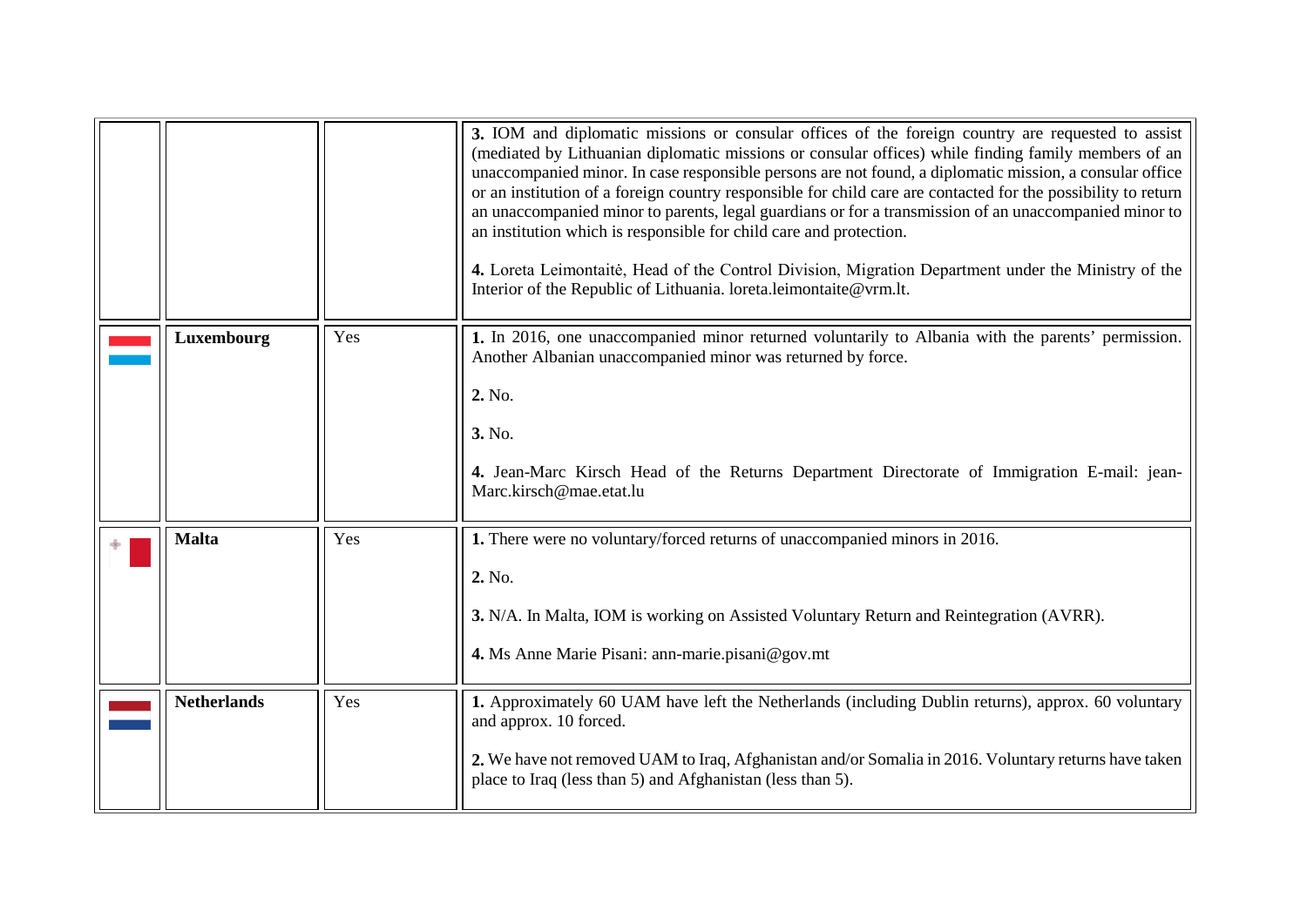<span id="page-11-0"></span>

|                    |     | 3. IOM and diplomatic missions or consular offices of the foreign country are requested to assist<br>(mediated by Lithuanian diplomatic missions or consular offices) while finding family members of an<br>unaccompanied minor. In case responsible persons are not found, a diplomatic mission, a consular office<br>or an institution of a foreign country responsible for child care are contacted for the possibility to return<br>an unaccompanied minor to parents, legal guardians or for a transmission of an unaccompanied minor to<br>an institution which is responsible for child care and protection.<br>4. Loreta Leimontaitė, Head of the Control Division, Migration Department under the Ministry of the<br>Interior of the Republic of Lithuania. loreta.leimontaite@vrm.lt. |
|--------------------|-----|-------------------------------------------------------------------------------------------------------------------------------------------------------------------------------------------------------------------------------------------------------------------------------------------------------------------------------------------------------------------------------------------------------------------------------------------------------------------------------------------------------------------------------------------------------------------------------------------------------------------------------------------------------------------------------------------------------------------------------------------------------------------------------------------------|
| Luxembourg         | Yes | 1. In 2016, one unaccompanied minor returned voluntarily to Albania with the parents' permission.<br>Another Albanian unaccompanied minor was returned by force.<br>2. No.<br>3. No.<br>4. Jean-Marc Kirsch Head of the Returns Department Directorate of Immigration E-mail: jean-<br>Marc.kirsch@mae.etat.lu                                                                                                                                                                                                                                                                                                                                                                                                                                                                                  |
| <b>Malta</b>       | Yes | 1. There were no voluntary/forced returns of unaccompanied minors in 2016.<br>2. No.<br>3. N/A. In Malta, IOM is working on Assisted Voluntary Return and Reintegration (AVRR).<br>4. Ms Anne Marie Pisani: ann-marie.pisani@gov.mt                                                                                                                                                                                                                                                                                                                                                                                                                                                                                                                                                             |
| <b>Netherlands</b> | Yes | 1. Approximately 60 UAM have left the Netherlands (including Dublin returns), approx. 60 voluntary<br>and approx. 10 forced.<br>2. We have not removed UAM to Iraq, Afghanistan and/or Somalia in 2016. Voluntary returns have taken<br>place to Iraq (less than 5) and Afghanistan (less than 5).                                                                                                                                                                                                                                                                                                                                                                                                                                                                                              |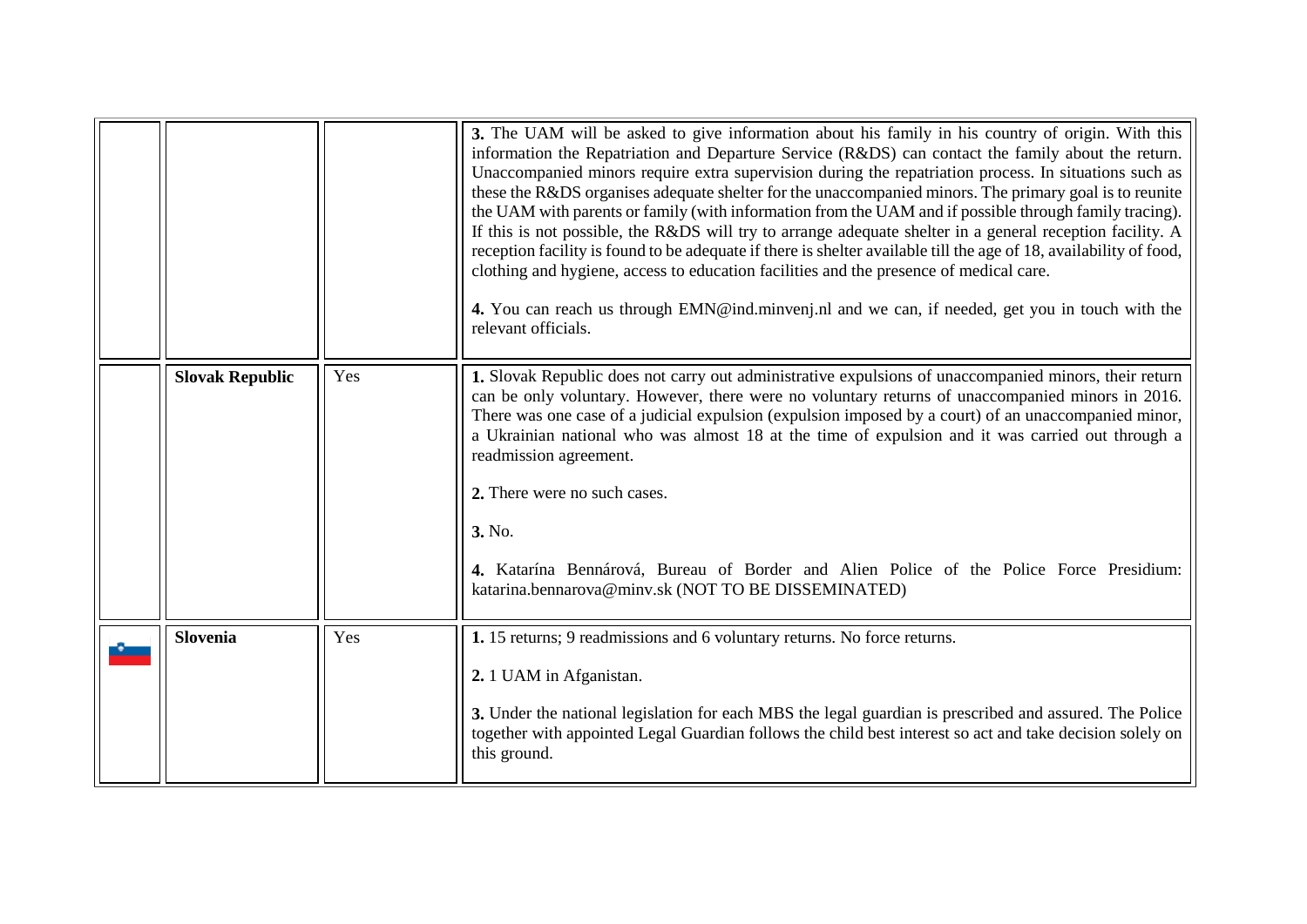<span id="page-12-1"></span><span id="page-12-0"></span>

|                        |     | 3. The UAM will be asked to give information about his family in his country of origin. With this<br>information the Repatriation and Departure Service (R&DS) can contact the family about the return.<br>Unaccompanied minors require extra supervision during the repatriation process. In situations such as<br>these the R&DS organises adequate shelter for the unaccompanied minors. The primary goal is to reunite<br>the UAM with parents or family (with information from the UAM and if possible through family tracing).<br>If this is not possible, the R&DS will try to arrange adequate shelter in a general reception facility. A<br>reception facility is found to be adequate if there is shelter available till the age of 18, availability of food,<br>clothing and hygiene, access to education facilities and the presence of medical care.<br>4. You can reach us through EMN@ind.minvenj.nl and we can, if needed, get you in touch with the<br>relevant officials. |
|------------------------|-----|---------------------------------------------------------------------------------------------------------------------------------------------------------------------------------------------------------------------------------------------------------------------------------------------------------------------------------------------------------------------------------------------------------------------------------------------------------------------------------------------------------------------------------------------------------------------------------------------------------------------------------------------------------------------------------------------------------------------------------------------------------------------------------------------------------------------------------------------------------------------------------------------------------------------------------------------------------------------------------------------|
| <b>Slovak Republic</b> | Yes | 1. Slovak Republic does not carry out administrative expulsions of unaccompanied minors, their return<br>can be only voluntary. However, there were no voluntary returns of unaccompanied minors in 2016.<br>There was one case of a judicial expulsion (expulsion imposed by a court) of an unaccompanied minor,<br>a Ukrainian national who was almost 18 at the time of expulsion and it was carried out through a<br>readmission agreement.<br>2. There were no such cases.<br>3. No.<br>4. Katarína Bennárová, Bureau of Border and Alien Police of the Police Force Presidium:<br>katarina.bennarova@minv.sk (NOT TO BE DISSEMINATED)                                                                                                                                                                                                                                                                                                                                                 |
| <b>Slovenia</b>        | Yes | 1. 15 returns; 9 readmissions and 6 voluntary returns. No force returns.<br>2. 1 UAM in Afganistan.<br>3. Under the national legislation for each MBS the legal guardian is prescribed and assured. The Police<br>together with appointed Legal Guardian follows the child best interest so act and take decision solely on<br>this ground.                                                                                                                                                                                                                                                                                                                                                                                                                                                                                                                                                                                                                                                 |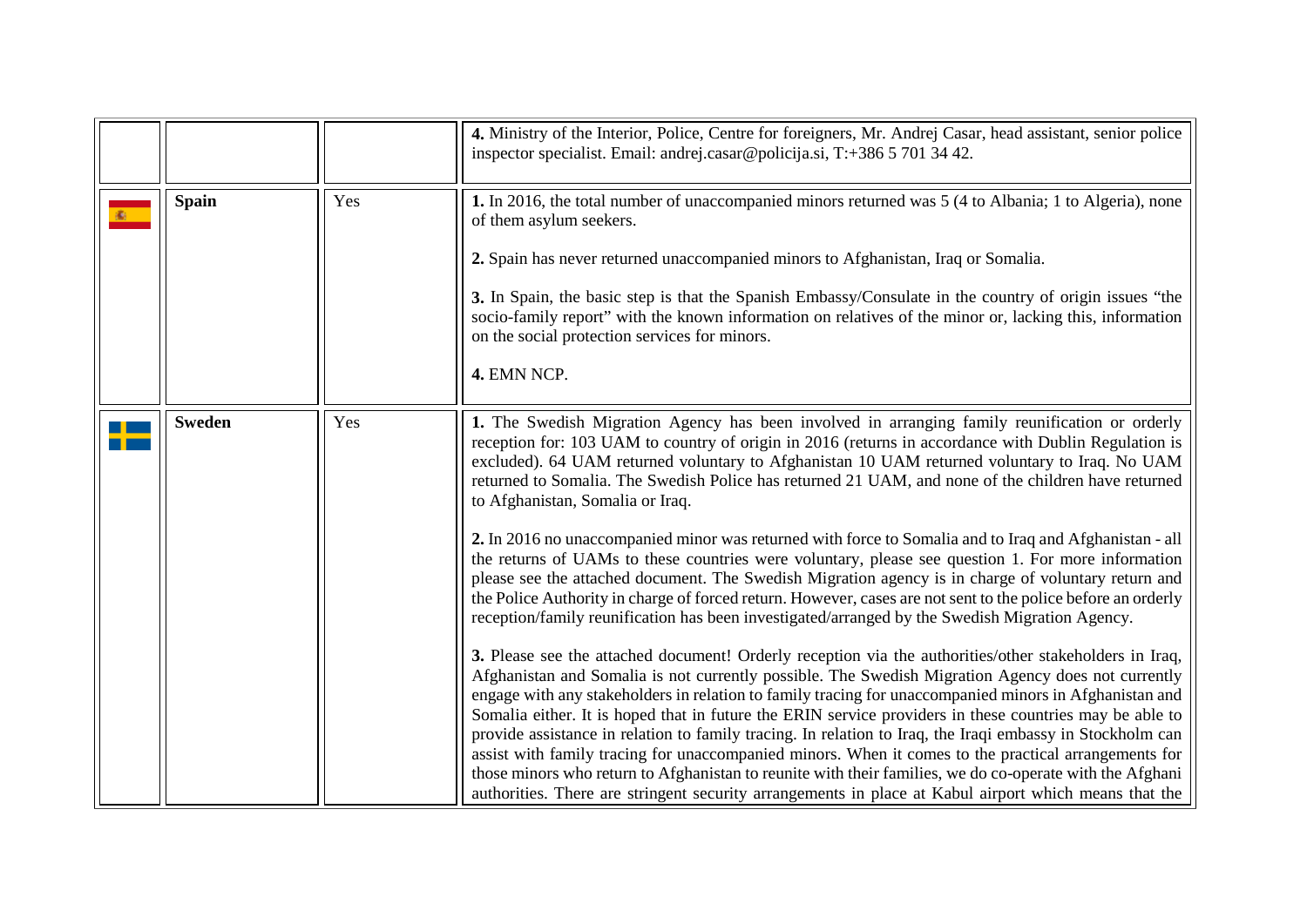<span id="page-13-1"></span><span id="page-13-0"></span>

|               |     | 4. Ministry of the Interior, Police, Centre for foreigners, Mr. Andrej Casar, head assistant, senior police<br>inspector specialist. Email: andrej.casar@policija.si, T:+386 5 701 34 42.                                                                                                                                                                                                                                                                                                                                                                                                                                                                                                                                                                                                                                                                                   |
|---------------|-----|-----------------------------------------------------------------------------------------------------------------------------------------------------------------------------------------------------------------------------------------------------------------------------------------------------------------------------------------------------------------------------------------------------------------------------------------------------------------------------------------------------------------------------------------------------------------------------------------------------------------------------------------------------------------------------------------------------------------------------------------------------------------------------------------------------------------------------------------------------------------------------|
| <b>Spain</b>  | Yes | 1. In 2016, the total number of unaccompanied minors returned was 5 (4 to Albania; 1 to Algeria), none<br>of them asylum seekers.                                                                                                                                                                                                                                                                                                                                                                                                                                                                                                                                                                                                                                                                                                                                           |
|               |     | 2. Spain has never returned unaccompanied minors to Afghanistan, Iraq or Somalia.                                                                                                                                                                                                                                                                                                                                                                                                                                                                                                                                                                                                                                                                                                                                                                                           |
|               |     | 3. In Spain, the basic step is that the Spanish Embassy/Consulate in the country of origin issues "the<br>socio-family report" with the known information on relatives of the minor or, lacking this, information<br>on the social protection services for minors.                                                                                                                                                                                                                                                                                                                                                                                                                                                                                                                                                                                                          |
|               |     | 4. EMN NCP.                                                                                                                                                                                                                                                                                                                                                                                                                                                                                                                                                                                                                                                                                                                                                                                                                                                                 |
| <b>Sweden</b> | Yes | 1. The Swedish Migration Agency has been involved in arranging family reunification or orderly<br>reception for: 103 UAM to country of origin in 2016 (returns in accordance with Dublin Regulation is<br>excluded). 64 UAM returned voluntary to Afghanistan 10 UAM returned voluntary to Iraq. No UAM<br>returned to Somalia. The Swedish Police has returned 21 UAM, and none of the children have returned<br>to Afghanistan, Somalia or Iraq.                                                                                                                                                                                                                                                                                                                                                                                                                          |
|               |     | 2. In 2016 no unaccompanied minor was returned with force to Somalia and to Iraq and Afghanistan - all<br>the returns of UAMs to these countries were voluntary, please see question 1. For more information<br>please see the attached document. The Swedish Migration agency is in charge of voluntary return and<br>the Police Authority in charge of forced return. However, cases are not sent to the police before an orderly<br>reception/family reunification has been investigated/arranged by the Swedish Migration Agency.                                                                                                                                                                                                                                                                                                                                       |
|               |     | 3. Please see the attached document! Orderly reception via the authorities/other stakeholders in Iraq,<br>Afghanistan and Somalia is not currently possible. The Swedish Migration Agency does not currently<br>engage with any stakeholders in relation to family tracing for unaccompanied minors in Afghanistan and<br>Somalia either. It is hoped that in future the ERIN service providers in these countries may be able to<br>provide assistance in relation to family tracing. In relation to Iraq, the Iraqi embassy in Stockholm can<br>assist with family tracing for unaccompanied minors. When it comes to the practical arrangements for<br>those minors who return to Afghanistan to reunite with their families, we do co-operate with the Afghani<br>authorities. There are stringent security arrangements in place at Kabul airport which means that the |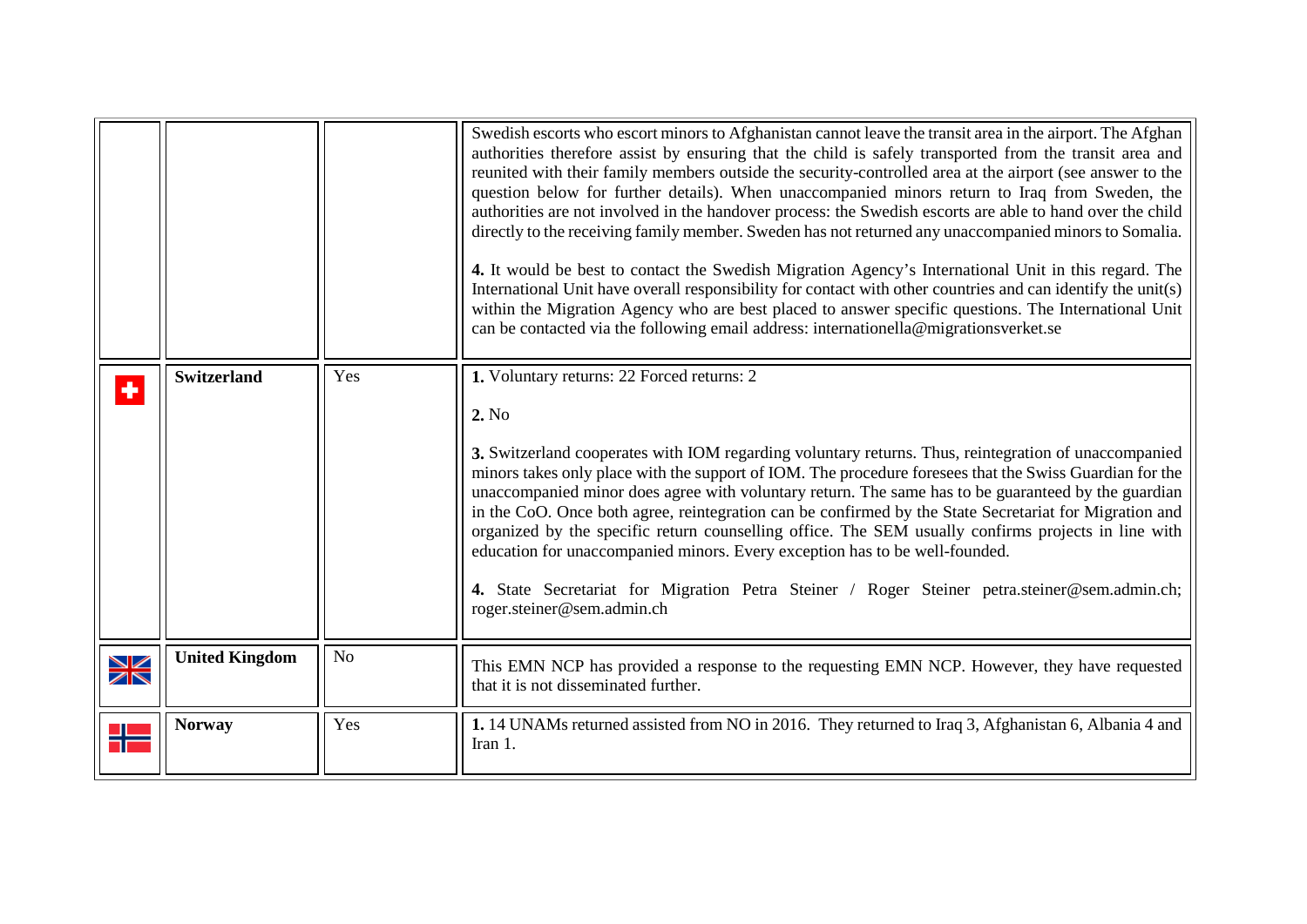<span id="page-14-2"></span><span id="page-14-1"></span><span id="page-14-0"></span>

|                           |                       |                | Swedish escorts who escort minors to Afghanistan cannot leave the transit area in the airport. The Afghan<br>authorities therefore assist by ensuring that the child is safely transported from the transit area and<br>reunited with their family members outside the security-controlled area at the airport (see answer to the<br>question below for further details). When unaccompanied minors return to Iraq from Sweden, the<br>authorities are not involved in the handover process: the Swedish escorts are able to hand over the child<br>directly to the receiving family member. Sweden has not returned any unaccompanied minors to Somalia.<br>4. It would be best to contact the Swedish Migration Agency's International Unit in this regard. The<br>International Unit have overall responsibility for contact with other countries and can identify the unit(s)<br>within the Migration Agency who are best placed to answer specific questions. The International Unit<br>can be contacted via the following email address: internationella@migrationsverket.se |
|---------------------------|-----------------------|----------------|------------------------------------------------------------------------------------------------------------------------------------------------------------------------------------------------------------------------------------------------------------------------------------------------------------------------------------------------------------------------------------------------------------------------------------------------------------------------------------------------------------------------------------------------------------------------------------------------------------------------------------------------------------------------------------------------------------------------------------------------------------------------------------------------------------------------------------------------------------------------------------------------------------------------------------------------------------------------------------------------------------------------------------------------------------------------------------|
| ٠                         | <b>Switzerland</b>    | Yes            | 1. Voluntary returns: 22 Forced returns: 2<br>2. No<br>3. Switzerland cooperates with IOM regarding voluntary returns. Thus, reintegration of unaccompanied<br>minors takes only place with the support of IOM. The procedure foresees that the Swiss Guardian for the<br>unaccompanied minor does agree with voluntary return. The same has to be guaranteed by the guardian<br>in the CoO. Once both agree, reintegration can be confirmed by the State Secretariat for Migration and<br>organized by the specific return counselling office. The SEM usually confirms projects in line with<br>education for unaccompanied minors. Every exception has to be well-founded.<br>4. State Secretariat for Migration Petra Steiner / Roger Steiner petra.steiner@sem.admin.ch;<br>roger.steiner@sem.admin.ch                                                                                                                                                                                                                                                                        |
| $\frac{\Delta Z}{\Delta}$ | <b>United Kingdom</b> | N <sub>o</sub> | This EMN NCP has provided a response to the requesting EMN NCP. However, they have requested<br>that it is not disseminated further.                                                                                                                                                                                                                                                                                                                                                                                                                                                                                                                                                                                                                                                                                                                                                                                                                                                                                                                                               |
|                           | <b>Norway</b>         | Yes            | 1. 14 UNAMs returned assisted from NO in 2016. They returned to Iraq 3, Afghanistan 6, Albania 4 and<br>Iran 1.                                                                                                                                                                                                                                                                                                                                                                                                                                                                                                                                                                                                                                                                                                                                                                                                                                                                                                                                                                    |